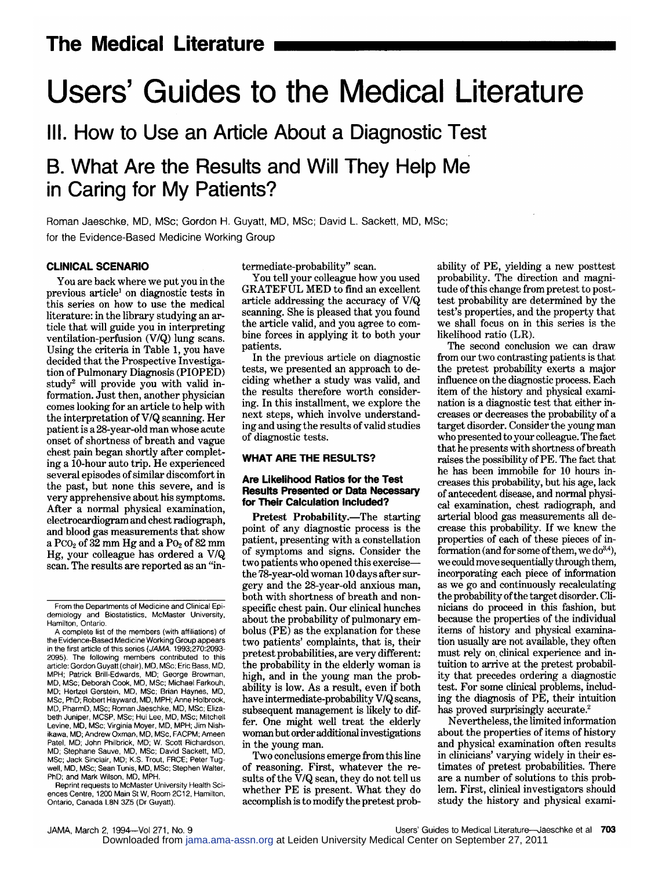# Users' Guides to the Medical Literature

III. How to Use an Article About a Diagnostic Test

## B. What Are the Results and Will They Help Me in Caring for My Patients?

Roman Jaeschke, MD, MSc; Gordon H. Guyatt, MD, MSc; David L. Sackett, MD, MSc; for the Evidence-Based Medicine Working Group

#### CLINICAL SCENARIO

You are back where we put you in the previous article<sup>1</sup> on diagnostic tests in this series on how to use the medical literature: in the library studying an article that will guide you in interpreting ventilation-perfusion (V/Q) lung scans. Using the criteria in Table 1, you have decided that the Prospective Investigation of Pulmonary Diagnosis (PIOPED) study2 will provide you with valid information. Just then, another physician comes looking for an article to help with the interpretation ofV/Q scanning. Her patient is <sup>a</sup> 28-year-old man whose acute onset of shortness of breath and vague chest pain began shortly after completing <sup>a</sup> 10-hour auto trip. He experienced several episodes of similar discomfort in the past, but none this severe, and is very apprehensive about his symptoms. After <sup>a</sup> normal physical examination, electrocardiogram and chest radiograph, and blood gas measurements that show a Pco<sub>2</sub> of  $32$  mm Hg and a Po<sub>2</sub> of 82 mm Hg, your colleague has ordered <sup>a</sup> V/Q scan. The results are reported as an "in-

Reprint requests to McMaster University Health Sciences Centre, 1200 Main St W, Room 2C12, Hamilton, Ontario, Canada L8N 3Z5 (Dr Guyatt).

termediate-probability" scan.

You tell your colleague how you used GRATEFUL MED to find an excellent article addressing the accuracy of V/Q scanning. She is pleased that you found the article valid, and you agree to combine forces in applying it to both your patients.

In the previous article on diagnostic tests, we presented an approach to deciding whether <sup>a</sup> study was valid, and the results therefore worth considering. In this installment, we explore the next steps, which involve understanding and using the results of valid studies of diagnostic tests.

#### WHAT ARE THE RESULTS?

#### Are Likelihood Ratios for the Test Results Presented or Data Necessary for Their Calculation Included?

Pretest Probability.—The starting point of any diagnostic process is the patient, presenting with <sup>a</sup> constellation of symptoms and signs. Consider the two patients who opened this exercise the  $78$ -year-old woman 10 days after surgery and the 28-year-old anxious man, both with shortness of breath and non specific chest pain. Our clinical hunches about the probability of pulmonary embolus (PE) as the explanation for these two patients' complaints, that is, their pretest probabilities, are very different: the probability in the elderly woman is high, and in the young man the probability is low. As <sup>a</sup> result, even if both have intermediate-probability V/Q scans, subsequent management is likely to differ. One might well treat the elderly woman but order additional investigations in the young man.

Two conclusions emerge from this line of reasoning. First, whatever the results of the V/Q scan, they do not tell us whether PE is present. What they do accomplish is to modify the pretest probability of PE, yielding <sup>a</sup> new posttest probability. The direction and magnitude of this change from pretest to posttest probability are determined by the test's properties, and the property that we shall focus on in this series is the likelihood ratio (LR).

The second conclusion we can draw from our two contrasting patients is that the pretest probability exerts <sup>a</sup> major influence on the diagnostic process. Each item of the history and physical examination is <sup>a</sup> diagnostic test that either in creases or decreases the probability of <sup>a</sup> target disorder. Consider the young man who presented to your colleague. The fact that he presents with shortness of breath raises the possibility of PE. The fact that he has been immobile for 10 hours increases this probability, but his age, lack of antecedent disease, and normal physical examination, chest radiograph, and arterial blood gas measurements all de crease this probability. If we knew the properties of each of these pieces of in formation (and for some of them, we  $do^{3,4}$ ), we could move sequentially through them, incorporating each piece of information as we go and continuously recalculating the probability of the target disorder. Clinicians do proceed in this fashion, but because the properties of the individual items of history and physical examination usually are not available, they often must rely on clinical experience and in tuition to arrive at the pretest probability that precedes ordering <sup>a</sup> diagnostic test. For some clinical problems, including the diagnosis of PE, their intuition has proved surprisingly accurate.<sup>2</sup>

Nevertheless, the limited information about the properties of items of history and physical examination often results in clinicians' varying widely in their estimates of pretest probabilities. There are a number of solutions to this problem. First, clinical investigators should study the history and physical exami-

Users' Guides to Medical Literature-Jaeschke et al 703

From the Departments of Medicine and Clinical Epidemiology and Biostatistics, McMaster University, Hamilton, Ontario.

A complete list of the members (with affiliations) of the Evidence-Based Medicine Working Group appears in the first article of this series (JAMA. 1993;270:2093-2095). The following members contributed to this article: Gordon Guyatt (chair), MD, MSc; Eric Bass, MD, MPH; Patrick Brill-Edwards, MD; George Browman, MD, MSc; Deborah Cook, MD, MSc; Michael Farkouh, MD; Hertzel Gerstein, MD, MSc; Brian Haynes, MD, MSc, PhD; Robert Hayward, MD, MPH; Anne Holbrook, MD, PharmD, MSc; Roman Jaeschke, MD, MSc; Elizabeth Juniper, MCSP, MSc; Hui Lee, MD, MSc; Mitchell Levine, MD, MSc; Virginia Moyer, MD, MPH; Jim Nishikawa, MD; Andrew Oxman, MD, MSc, FACPM; Ameen Patel, MD; John Philbrick, MD; W. Scott Richardson, MD; Stephane Sauve, MD, MSc; David Sackett, MD, MSc; Jack Sinclair, MD; K.S. Trout, FRCE; Peter Tugwell, MD, MSc; Sean Tunis, MD, MSc; Stephen Walter, PhD; and Mark Wilson, MD, MPH.

Downloaded from [jama.ama-assn.org](http://jama.ama-assn.org/) at Leiden University Medical Center on September 27, 2011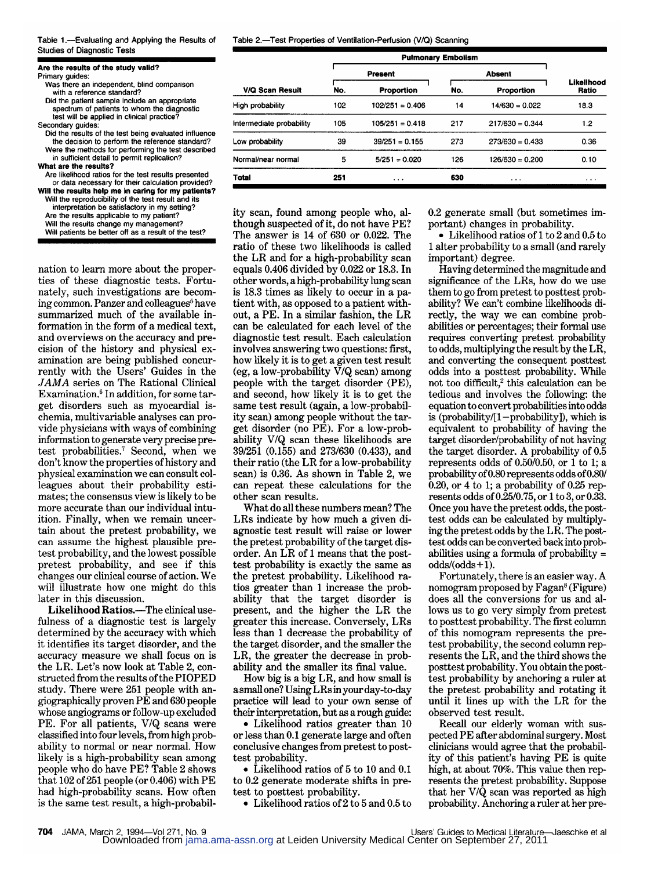Table 1.—Evaluating and Applying the Results of Studies of Diagnostic Tests

|  | Are the results of the study valid? |  |  |  |  |
|--|-------------------------------------|--|--|--|--|

Are the results of the study valid? Primary guides: Was there an independent, blind comparison

with a reference standard? Did the patient sample include an appropriate spectrum of patients to whom the diagnostic

test will be applied in clinical practice? Secondary guides:

Did the results of the test being evaluated influence the decision to perform the reference standard? Were the methods for performing the test described in sufficient detail to permit replication?

What are the results?

Are likelihood ratios for the test results presented or data necessary for their calculation provided? Will the results help me in caring for my patients?

Will the reproduclbllity of the test result and Its interpretation be satisfactory in my setting? Are the results applicable to my patient?

Will the results change my management? Will patients be better off as <sup>a</sup> result of the test?

nation to learn more about the properties of these diagnostic tests. Fortunately, such investigations are becom ing common. Panzer and colleagues<sup>5</sup> have summarized much of the available information in the form of <sup>a</sup> medical text, and overviews on the accuracy and precision of the history and physical examination are being published concurrently with the Users' Guides in the JAMA series on The Rational Clinical Examination.<sup>6</sup> In addition, for some target disorders such as myocardial ischemia, multivariable analyses can pro vide physicians with ways of combining information to generate very precise pretest probabilities.7 Second, when we don't know the properties of history and physical examination we can consult col leagues about their probability estimates; the consensus view is likely to be more accurate than our individual intuition. Finally, when we remain uncertain about the pretest probability, we can assume the highest plausible pretest probability, and the lowest possible pretest probability, and see if this changes our clinical course of action. We will illustrate how one might do this later in this discussion.

Likelihood Ratios.-The clinical usefulness of <sup>a</sup> diagnostic test is largely determined by the accuracy with which it identifies its target disorder, and the accuracy measure we shall focus on is the LR. Let's now look at Table 2, constructed from the results of the PIOPED study. There were <sup>251</sup> people with angiographically proven PE and 630 people whose angiograms or follow-up excluded PE. For all patients, V/Q scans were classified into four levels, from high probability to normal or near normal. How likely is <sup>a</sup> high-probability scan among people who do have PE? Table <sup>2</sup> shows that  $102$  of  $251$  people (or 0.406) with  $PE$ had high-probability scans. How often is the same test result, <sup>a</sup> high-probabilTable 2.—Test Properties of Ventilation-Perfusion (V/Q) Scanning

|                          | <b>Pulmonary Embolism</b> |                   |               |                   |                     |
|--------------------------|---------------------------|-------------------|---------------|-------------------|---------------------|
|                          | Present                   |                   | <b>Absent</b> |                   |                     |
| <b>V/Q Scan Result</b>   | No.                       | Proportion        | No.           | Proportion        | Likelihood<br>Ratio |
| High probability         | 102                       | $102/251 = 0.406$ | 14            | $14/630 = 0.022$  | 18.3                |
| Intermediate probability | 105                       | $105/251 = 0.418$ | 217           | $217/630 = 0.344$ | 1.2                 |
| Low probability          | 39                        | $39/251 = 0.155$  | 273           | $273/630 = 0.433$ | 0.36                |
| Normal/near normal       | 5                         | $5/251 = 0.020$   | 126           | $126/630 = 0.200$ | 0.10                |
| <b>Total</b>             | 251                       | $\cdots$          | 630           | $\cdots$          | $\cdots$            |

ity scan, found among people who, although suspected of it, do not have PE? The answer is 14 of 630 or 0.022. The ratio of these two likelihoods is called the LR and for <sup>a</sup> high-probability scan equals 0.406 divided by 0.022 or 18.3. In other words, <sup>a</sup> high-probability lung scan is 18.3 times as likely to occur in a patient with, as opposed to a patient without, <sup>a</sup> PE. In <sup>a</sup> similar fashion, the LR can be calculated for each level of the diagnostic test result. Each calculation involves answering two questions: first, how likely it is to get <sup>a</sup> given test result (eg, a low-probability V/Q scan) among people with the target disorder (PE), and second, how likely it is to get the same test result (again, a low-probability scan) among people without the target disorder (no PE). For a low-probability V/Q scan these likelihoods are 39/251 (0.155) and 273/630 (0.433), and their ratio (the LR for <sup>a</sup> low-probability scan) is 0.36. As shown in Table 2, we can repeat these calculations for the other scan results.

What do all these numbers mean? The LRs indicate by how much a given diagnostic test result will raise or lower the pretest probability of the target disorder. An LR of <sup>1</sup> means that the posttest probability is exactly the same as the pretest probability. Likelihood ra tios greater than <sup>1</sup> increase the prob ability that the target disorder is present, and the higher the LR the greater this increase. Conversely, LRs less than <sup>1</sup> decrease the probability of the target disorder, and the smaller the LR, the greater the decrease in probability and the smaller its final value.

How big is <sup>a</sup> big LR, and how small is <sup>a</sup> small one? Using LRs inyourday-to-day practice will lead to your own sense of their interpretation, but as <sup>a</sup> rough guide:

• Likelihood ratios greater than 10 or less than 0.1 generate large and often conclusive changes from pretest to posttest probability.

• Likelihood ratios of <sup>5</sup> to <sup>10</sup> and 0.1 to 0.2 generate moderate shifts in pretest to posttest probability.

• Likelihood ratios of <sup>2</sup> to <sup>5</sup> and 0.5 to

0.2 generate small (but sometimes im portant) changes in probability.

• Likelihood ratios of <sup>1</sup> to 2 and 0.5 to <sup>1</sup> alter probability to <sup>a</sup> small (and rarely important) degree.

Having determined the magnitude and significance of the LRs, how do we use them to go from pretest to posttest probability? We can't combine likelihoods directly, the way we can combine probabilities or percentages; their formal use requires converting pretest probability to odds, multiplying the result by the LR, and converting the consequent posttest odds into <sup>a</sup> posttest probability. While not too difficult,<sup>2</sup> this calculation can be tedious and involves the following: the equation to convert probabilities into odds is (probability/[l-probability]), which is equivalent to probability of having the target disorder/probability of not having the target disorder. A probability of 0.5 represents odds of 0.50/0.50, or <sup>1</sup> to 1; <sup>a</sup> probability of0.80 represents odds of0.80/ 0.20, or 4 to 1; a probability of  $0.25$  represents odds of0.25/0.75, or <sup>1</sup> to 3, or 0.33. Once you have the pretest odds, the posttest odds can be calculated by multiplying the pretest odds by the LR. The posttest odds can be converted back into probabilities using <sup>a</sup> formula of probability <sup>=</sup>  $odds/(odds+1)$ .

Fortunately, there is an easier way. A nomogram proposed by Fagan<sup>8</sup> (Figure) does all the conversions for us and allows us to go very simply from pretest to posttest probability. The first column of this nomogram represents the pretest probability, the second column represents the LR, and the third shows the posttest probability. You obtain the posttest probability by anchoring <sup>a</sup> ruler at the pretest probability and rotating it until it lines up with the LR for the observed test result.

Recall our elderly woman with suspected PE after abdominal surgery. Most clinicians would agree that the probability of this patient's having PE is quite high, at about 70%. This value then represents the pretest probability. Suppose that her V/Q scan was reported as high probability. Anchoring <sup>a</sup> ruler at her pre-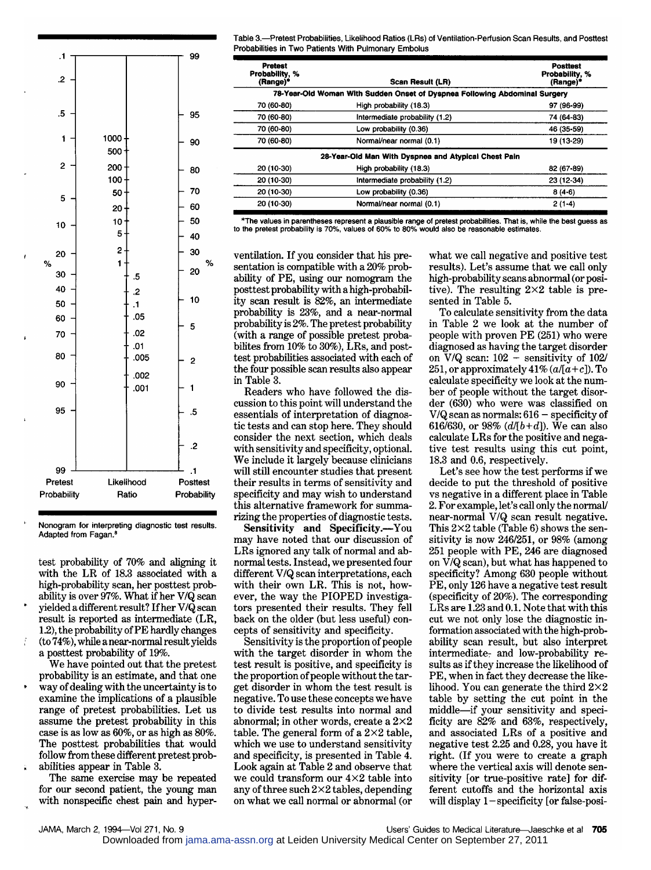

Nonogram for interpreting diagnostic test results. Adapted from Fagan.

test probability of 70% and aligning it with the LR of 18.3 associated with a high-probability scan, her posttest prob ability is over 97%. What if her V/Q scan yielded <sup>a</sup> different result? Ifher V/Q scan result is reported as intermediate (LR, 1.2), the probability of PE hardly changes (to 74%), while <sup>a</sup> near-normal result yields <sup>a</sup> posttest probability of 19%.

We have pointed out that the pretest probability is an estimate, and that one way of dealing with the uncertainty is to examine the implications of <sup>a</sup> plausible range of pretest probabilities. Let us assume the pretest probability in this case is as low as 60%, or as high as 80%. The posttest probabilities that would follow from these different pretest probabilities appear in Table 3.

The same exercise may be repeated for our second patient, the young man with nonspecific chest pain and hyper-

JAMA, March 2, 1994-Vol 271, No. 9

Table 3.—Pretest Probabilities, Likelihood Ratios (LRs) of Ventilation-Perfusion Scan Results, and Posttest Probabilities in Two Patients With Pulmonary Embolus

| <b>Pretest</b><br>Probability, %<br>(Range)* | Scan Result (LR)                                                           | <b>Posttest</b><br>Probability, %<br>(Range)* |
|----------------------------------------------|----------------------------------------------------------------------------|-----------------------------------------------|
|                                              | 78-Year-Old Woman With Sudden Onset of Dyspnea Following Abdominal Surgery |                                               |
| 70 (60-80)                                   | High probability (18.3)                                                    | 97 (96-99)                                    |
| 70 (60-80)                                   | Intermediate probability (1.2)                                             | 74 (64-83)                                    |
| 70 (60-80)                                   | Low probability (0.36)                                                     | 46 (35-59)                                    |
| 70 (60-80)                                   | Normal/near normal (0.1)                                                   | 19 (13-29)                                    |
|                                              | 28-Year-Old Man With Dyspnea and Atypical Chest Pain                       |                                               |
| 20 (10-30)                                   | High probability (18.3)                                                    | 82 (67-89)                                    |
| 20 (10-30)                                   | Intermediate probability (1.2)                                             | 23 (12-34)                                    |
| 20 (10-30)                                   | Low probability (0.36)                                                     | $8(4-6)$                                      |
| 20 (10-30)                                   | Normal/near normal (0.1)                                                   | $2(1-4)$                                      |

\*The values in parentheses represent <sup>a</sup> plausible range of pretest probabilities. That is, while the best guess as to the pretest probability is 70%, values of 60% to 80% would also be reasonable estimates.

ventilation. If you consider that his presentation is compatible with a 20% probability of PE, using our nomogram the posttest probability with <sup>a</sup> high-probabil ity scan result is 82%, an intermediate probability is 23%, and <sup>a</sup> near-normal probability is 2%. The pretest probability (with a range of possible pretest probabilites from  $10\%$  to  $30\%$ ), LRs, and posttest probabilities associated with each of the four possible scan results also appear in Table 3.

Readers who have followed the dis cussion to this point will understand the essentials of interpretation of diagnostic tests and can stop here. They should consider the next section, which deals with sensitivity and specificity, optional. We include it largely because clinicians will still encounter studies that present their results in terms of sensitivity and specificity and may wish to understand this alternative framework for summarizing the properties of diagnostic tests.

Sensitivity and Specificity.—You may have noted that our discussion of LRs ignored any talk of normal and abnormal tests. Instead, we presented four different V/Q scan interpretations, each with their own LR. This is not, however, the way the PIOPED investigators presented their results. They fell back on the older (but less useful) con cepts of sensitivity and specificity.

Sensitivity is the proportion of people with the target disorder in whom the test result is positive, and specificity is the proportion of people without the target disorder in whom the test result is negative. To use these concepts we have to divide test results into normal and abnormal; in other words, create a  $2\times2$ table. The general form of a  $2\times2$  table, which we use to understand sensitivity and specificity, is presented in Table 4. Look again at Table <sup>2</sup> and observe that we could transform our 4x2 table into any of three such  $2\times 2$  tables, depending on what we call normal or abnormal (or

what we call negative and positive test results). Let's assume that we call only high-probability scans abnormal (or positive). The resulting  $2\times 2$  table is presented in Table 5.

To calculate sensitivity from the data in Table 2 we look at the number of people with proven PE (251) who were diagnosed as having the target disorder on V/Q scan:  $102 -$  sensitivity of  $102/251$  or approximately  $41\%$   $(a/a+c)$ ) To 251, or approximately  $41\%$  ( $a/[a+c]$ ). To calculate specificity we look at the num ber of people without the target disorder (630) who were was classified on  $V/Q$  scan as normals:  $616$  - specificity of<br> $616/620$  or  $92\%$   $(d/b + d)$  We see also 616/630, or 98%  $(d/[b+d])$ . We can also calculate LRs for the positive and negative test results using this cut point, 18.3 and 0.6, respectively.

Let's see how the test performs if we decide to put the threshold of positive vs negative in <sup>a</sup> different place in Table 2. For example, let's call only the normal/ near-normal V/Q scan result negative. This  $2\times 2$  table (Table 6) shows the sensitivity is now 246/251, or 98% (among <sup>251</sup> people with PE, <sup>246</sup> are diagnosed on V/Q scan), but what has happened to specificity? Among <sup>630</sup> people without PE, only <sup>126</sup> have <sup>a</sup> negative test result (specificity of 20%). The corresponding LRs are 1.23 and 0.1. Note that with this cut we not only lose the diagnostic in formation associated with the high-probability scan result, but also interpret intermediate- and low-probability results as ifthey increase the likelihood of PE, when in fact they decrease the likelihood. You can generate the third  $2\times2$ table by setting the cut point in the middle—if your sensitivity and specificity are 82% and 63%, respectively, and associated LRs of <sup>a</sup> positive and negative test 2.25 and 0.28, you have it right. (If you were to create <sup>a</sup> graph where the vertical axis will denote sen sitivity [or true-positive rate] for different cutoffs and the horizontal axis will display 1—specificity [or false-posi-

Downloaded from [jama.ama-assn.org](http://jama.ama-assn.org/) at Leiden University Medical Center on September 27, 2011

Users' Guides to Medical Literature-Jaeschke et al 705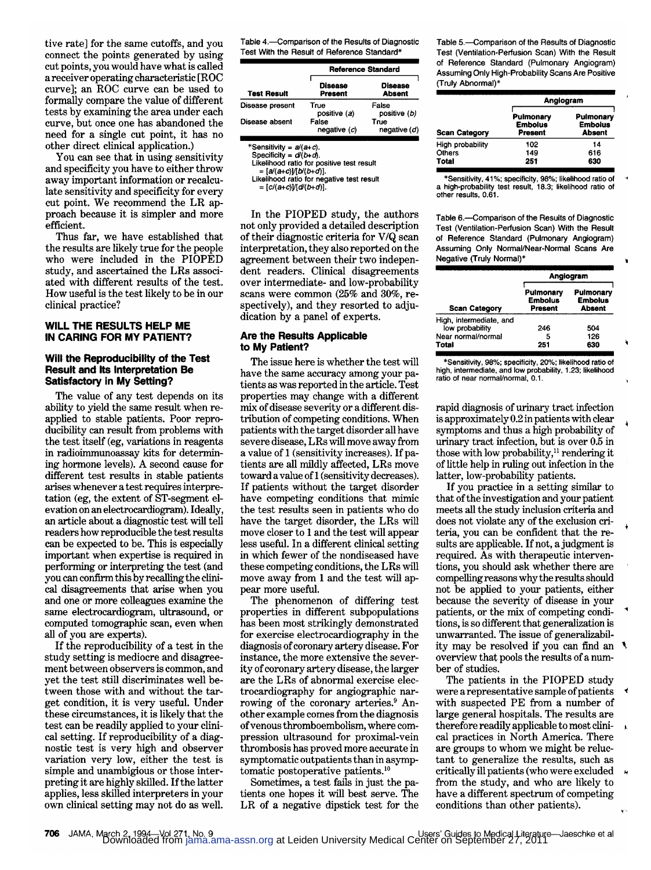tive rate] for the same cutoffs, and you connect the points generated by using cut points, you would have what is called <sup>a</sup> receiver operating characteristic [ROC curve]; an ROC curve can be used to formally compare the value of different tests by examining the area under each curve, but once one has abandoned the need for <sup>a</sup> single cut point, it has no other direct clinical application.)

You can see that in using sensitivity and specificity you have to either throw away important information or recalculate sensitivity and specificity for every cut point. We recommend the LR approach because it is simpler and more efficient.

Thus far, we have established that the results are likely true for the people who were included in the PIOPED study, and ascertained the LRs associated with different results of the test. How useful is the test likely to be in our clinical practice?

### WILL THE RESULTS HELP ME IN CARING FOR MY PATIENT?

#### Will the Reproducibility of the Test Result and Its Interpretation Be Satisfactory in My Setting?

The value of any test depends on its ability to yield the same result when reapplied to stable patients. Poor reproducibility can result from problems with the test itself (eg, variations in reagents in radioimmunoassay kits for determin ing hormone levels). A second cause for different test results in stable patients arises whenever <sup>a</sup> test requires interpre tation (eg, the extent of ST-segment el evation on an electrocardiogram). Ideally, an article about <sup>a</sup> diagnostic test will tell readers how reproducible the test results can be expected to be. This is especially important when expertise is required in performing or interpreting the test (and you can confirm this by recalling the clinical disagreements that arise when you and one or more colleagues examine the same electrocardiogram, ultrasound, or computed tomographic scan, even when all of you are experts).

If the reproducibility of <sup>a</sup> test in the study setting is mediocre and disagreement between observers is common, and yet the test still discriminates well between those with and without the target condition, it is very useful. Under these circumstances, it is likely that the test can be readily applied to your clinical setting. If reproducibility of a diagnostic test is very high and observer variation very low, either the test is simple and unambigious or those interpreting it are highly skilled. Ifthe latter applies, less skilled interpreters in your own clinical setting may not do as well.

| Table 4.—Comparison of the Results of Diagnostic<br>Test With the Result of Reference Standard* |                       |                                 |  |  |
|-------------------------------------------------------------------------------------------------|-----------------------|---------------------------------|--|--|
|                                                                                                 |                       | Reference Standard              |  |  |
| <b>Test Result</b>                                                                              | Disease<br>Present    | <b>Disease</b><br><b>Absent</b> |  |  |
| Disease present                                                                                 | True<br>positive (a)  | False<br>positive (b)           |  |  |
| Disease absent                                                                                  | False<br>negative (c) | True<br>negative (d)            |  |  |

 $*$ Sensitivity =  $a/(a+c)$ 

Sensitivity =  $d(4+c)$ .<br>Specificity =  $d(b+d)$ .<br>Likelihood ratio for positive test result

= [a/(a+c))/[b/(b+d)]

Likelihood ratio for negative test result

= [c/(a+c)]/[d/(b+d)].

In the PIOPED study, the authors not only provided <sup>a</sup> detailed description of their diagnostic criteria for V/Q scan interpretation, they also reported on the agreement between their two indepen dent readers. Clinical disagreements over intermediate- and low-probability scans were common (25% and 30%, respectively), and they resorted to adjudication by <sup>a</sup> panel of experts.

#### Are the Results Applicable to My Patient?

The issue here is whether the test will have the same accuracy among your patients as was reported in the article. Test properties may change with <sup>a</sup> different mix of disease severity or a different distribution of competing conditions. When patients with the target disorder all have severe disease, LRs will move away from a value of 1 (sensitivity increases). If patients are all mildly affected, LRs move toward <sup>a</sup> value of <sup>1</sup> (sensitivity decreases). If patients without the target disorder have competing conditions that mimic the test results seen in patients who do have the target disorder, the LRs will move closer to <sup>1</sup> and the test will appear less useful. In <sup>a</sup> different clinical setting in which fewer of the nondiseased have these competing conditions, the LRs will move away from 1 and the test will appear more useful.

The phenomenon of differing test properties in different subpopulations has been most strikingly demonstrated for exercise electrocardiography in the diagnosis of coronary artery disease. For instance, the more extensive the severity of coronary artery disease, the larger are the LRs of abnormal exercise elec trocardiography for angiographie nar rowing of the coronary arteries.<sup>9</sup> Another example comes from the diagnosis ofvenous thromboembolism, where com pression ultrasound for proximal-vein thrombosis has proved more accurate in symptomatic outpatients than in asymptomatic postoperative patients.10

Sometimes, <sup>a</sup> test fails in just the pa tients one hopes it will best serve. The LR of <sup>a</sup> negative dipstick test for the Table 5.—Comparison of the Results of Diagnostic Test (Ventilation-Perfusion Scan) With the Result of Reference Standard (Pulmonary Angiogram) Assuming Only High-Probability Scans Are Positive (Truly Abnormal)\*

| Test (Ventilation-Perfusion Scan) With the Result<br>of Reference Standard (Pulmonary Angiogram)<br>Assuming Only High-Probability Scans Are Positive<br>(Truly Abnormal)* |                                        |                                              |  |  |
|----------------------------------------------------------------------------------------------------------------------------------------------------------------------------|----------------------------------------|----------------------------------------------|--|--|
|                                                                                                                                                                            |                                        | Anglogram                                    |  |  |
| <b>Scan Category</b>                                                                                                                                                       | Pulmonary<br><b>Embolus</b><br>Present | Pulmonary<br><b>Embolus</b><br><b>Absent</b> |  |  |
| High probability                                                                                                                                                           | 102                                    | 14                                           |  |  |
| Others                                                                                                                                                                     | 149                                    | 616                                          |  |  |
| Total                                                                                                                                                                      | 251                                    | 630                                          |  |  |

"Sensitivity. 41%; specificity, 98%; likelihood ratio of a high-probability test result, 18.3; likelihood ratio of other results, 0.61.

Table 6.—Comparison of the Results of Diagnostic Test (Ventilation-Perfusion Scan) With the Result of Reference Standard (Pulmonary Angiogram) Assuming Only Normal/Near-Normal Scans Are Negative (Truly Normal)\*

|                                            | Angiogram                              |                                              |  |
|--------------------------------------------|----------------------------------------|----------------------------------------------|--|
| <b>Scan Category</b>                       | Pulmonary<br><b>Embolus</b><br>Present | Pulmonary<br><b>Embolus</b><br><b>Absent</b> |  |
| High, intermediate, and<br>low probability | 246                                    | 504                                          |  |
| Near normal/normal                         | 5                                      | 126                                          |  |
| Total                                      | 251                                    | 630                                          |  |

"Sensitivity, 98%; specificity, 20%; likelihood ratio of high, intermediate, and low probability, 1.23; likelihood ratio of near normal/normal, 0.1.

rapid diagnosis of urinary tract infection is approximately 0.2 in patients with clear symptoms and thus <sup>a</sup> high probability of urinary tract infection, but is over 0.5 in those with low probability,<sup>11</sup> rendering it of little help in ruling out infection in the latter, low-probability patients.

If you practice in <sup>a</sup> setting similar to that of the investigation and your patient meets all the study inclusion criteria and does not violate any of the exclusion criteria, you can be confident that the results are applicable. If not, <sup>a</sup> judgment is required. As with therapeutic interventions, you should ask whether there are compelling reasonswhy the results should not be applied to your patients, either because the severity of disease in your patients, or the mix of competing conditions, is so different that generalization is unwarranted. The issue of generalizability may be resolved if you can find an overview that pools the results of <sup>a</sup> num ber of studies.

The patients in the PIOPED study were a representative sample ofpatients with suspected PE from <sup>a</sup> number of large general hospitals. The results are therefore readily applicable to most clinical practices in North America. There are groups to whom we might be reluctant to generalize the results, such as critically ill patients (who were excluded from the study, and who are likely to have <sup>a</sup> different spectrum of competing conditions than other patients).